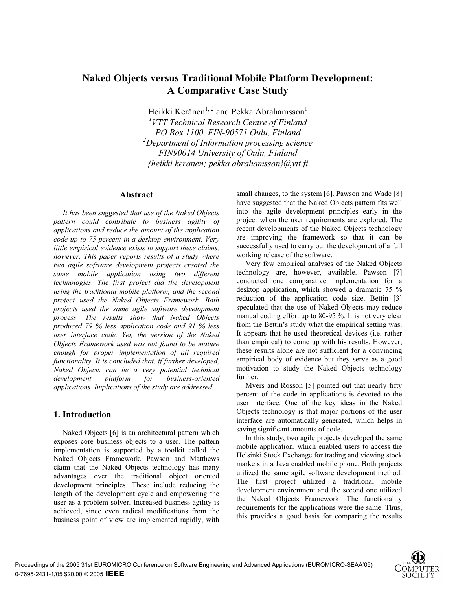# **Naked Objects versus Traditional Mobile Platform Development: A Comparative Case Study**

Heikki Keränen<sup>1, 2</sup> and Pekka Abrahamsson<sup>1</sup>

*1 VTT Technical Research Centre of Finland PO Box 1100, FIN-90571 Oulu, Finland 2 Department of Information processing science FIN90014 University of Oulu, Finland {heikki.keranen; pekka.abrahamsson}@vtt.fi* 

### **Abstract**

*It has been suggested that use of the Naked Objects pattern could contribute to business agility of applications and reduce the amount of the application code up to 75 percent in a desktop environment. Very little empirical evidence exists to support these claims, however. This paper reports results of a study where two agile software development projects created the same mobile application using two different technologies. The first project did the development using the traditional mobile platform, and the second project used the Naked Objects Framework. Both projects used the same agile software development process. The results show that Naked Objects produced 79 % less application code and 91 % less user interface code. Yet, the version of the Naked Objects Framework used was not found to be mature enough for proper implementation of all required functionality. It is concluded that, if further developed, Naked Objects can be a very potential technical development platform for business-oriented applications. Implications of the study are addressed.* 

## **1. Introduction**

Naked Objects [6] is an architectural pattern which exposes core business objects to a user. The pattern implementation is supported by a toolkit called the Naked Objects Framework. Pawson and Matthews claim that the Naked Objects technology has many advantages over the traditional object oriented development principles. These include reducing the length of the development cycle and empowering the user as a problem solver. Increased business agility is achieved, since even radical modifications from the business point of view are implemented rapidly, with small changes, to the system [6]. Pawson and Wade [8] have suggested that the Naked Objects pattern fits well into the agile development principles early in the project when the user requirements are explored. The recent developments of the Naked Objects technology are improving the framework so that it can be successfully used to carry out the development of a full working release of the software.

Very few empirical analyses of the Naked Objects technology are, however, available. Pawson [7] conducted one comparative implementation for a desktop application, which showed a dramatic 75 % reduction of the application code size. Bettin [3] speculated that the use of Naked Objects may reduce manual coding effort up to 80-95 %. It is not very clear from the Bettin's study what the empirical setting was. It appears that he used theoretical devices (i.e. rather than empirical) to come up with his results. However, these results alone are not sufficient for a convincing empirical body of evidence but they serve as a good motivation to study the Naked Objects technology further.

Myers and Rosson [5] pointed out that nearly fifty percent of the code in applications is devoted to the user interface. One of the key ideas in the Naked Objects technology is that major portions of the user interface are automatically generated, which helps in saving significant amounts of code.

In this study, two agile projects developed the same mobile application, which enabled users to access the Helsinki Stock Exchange for trading and viewing stock markets in a Java enabled mobile phone. Both projects utilized the same agile software development method. The first project utilized a traditional mobile development environment and the second one utilized the Naked Objects Framework. The functionality requirements for the applications were the same. Thus, this provides a good basis for comparing the results

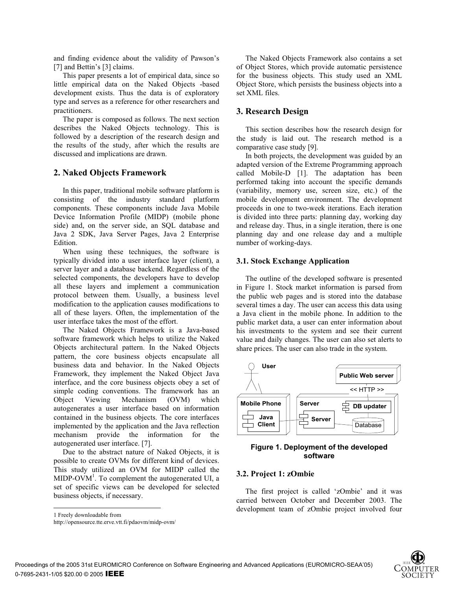and finding evidence about the validity of Pawson's [7] and Bettin's [3] claims.

This paper presents a lot of empirical data, since so little empirical data on the Naked Objects -based development exists. Thus the data is of exploratory type and serves as a reference for other researchers and practitioners.

The paper is composed as follows. The next section describes the Naked Objects technology. This is followed by a description of the research design and the results of the study, after which the results are discussed and implications are drawn.

## **2. Naked Objects Framework**

In this paper, traditional mobile software platform is consisting of the industry standard platform components. These components include Java Mobile Device Information Profile (MIDP) (mobile phone side) and, on the server side, an SQL database and Java 2 SDK, Java Server Pages, Java 2 Enterprise Edition.

When using these techniques, the software is typically divided into a user interface layer (client), a server layer and a database backend. Regardless of the selected components, the developers have to develop all these layers and implement a communication protocol between them. Usually, a business level modification to the application causes modifications to all of these layers. Often, the implementation of the user interface takes the most of the effort.

The Naked Objects Framework is a Java-based software framework which helps to utilize the Naked Objects architectural pattern. In the Naked Objects pattern, the core business objects encapsulate all business data and behavior. In the Naked Objects Framework, they implement the Naked Object Java interface, and the core business objects obey a set of simple coding conventions. The framework has an Object Viewing Mechanism (OVM) which autogenerates a user interface based on information contained in the business objects. The core interfaces implemented by the application and the Java reflection mechanism provide the information for the autogenerated user interface. [7].

Due to the abstract nature of Naked Objects, it is possible to create OVMs for different kind of devices. This study utilized an OVM for MIDP called the  $MIDP-OVM<sup>1</sup>$ . To complement the autogenerated UI, a set of specific views can be developed for selected business objects, if necessary.

1 Freely downloadable from

 $\overline{a}$ 

http://opensource.tte.erve.vtt.fi/pdaovm/midp-ovm/

The Naked Objects Framework also contains a set of Object Stores, which provide automatic persistence for the business objects. This study used an XML Object Store, which persists the business objects into a set XML files.

### **3. Research Design**

This section describes how the research design for the study is laid out. The research method is a comparative case study [9].

In both projects, the development was guided by an adapted version of the Extreme Programming approach called Mobile-D [1]. The adaptation has been performed taking into account the specific demands (variability, memory use, screen size, etc.) of the mobile development environment. The development proceeds in one to two-week iterations. Each iteration is divided into three parts: planning day, working day and release day. Thus, in a single iteration, there is one planning day and one release day and a multiple number of working-days.

#### **3.1. Stock Exchange Application**

The outline of the developed software is presented in Figure 1. Stock market information is parsed from the public web pages and is stored into the database several times a day. The user can access this data using a Java client in the mobile phone. In addition to the public market data, a user can enter information about his investments to the system and see their current value and daily changes. The user can also set alerts to share prices. The user can also trade in the system.



## **Figure 1. Deployment of the developed software**

#### **3.2. Project 1: zOmbie**

The first project is called 'zOmbie' and it was carried between October and December 2003. The development team of zOmbie project involved four

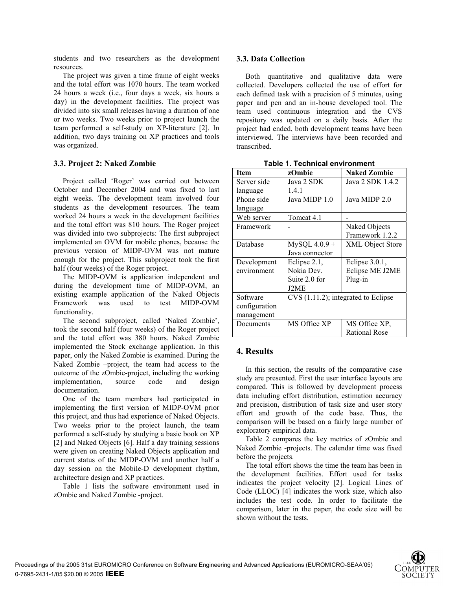students and two researchers as the development resources.

The project was given a time frame of eight weeks and the total effort was 1070 hours. The team worked 24 hours a week (i.e., four days a week, six hours a day) in the development facilities. The project was divided into six small releases having a duration of one or two weeks. Two weeks prior to project launch the team performed a self-study on XP-literature [2]. In addition, two days training on XP practices and tools was organized.

## **3.3. Project 2: Naked Zombie**

Project called 'Roger' was carried out between October and December 2004 and was fixed to last eight weeks. The development team involved four students as the development resources. The team worked 24 hours a week in the development facilities and the total effort was 810 hours. The Roger project was divided into two subprojects: The first subproject implemented an OVM for mobile phones, because the previous version of MIDP-OVM was not mature enough for the project. This subproject took the first half (four weeks) of the Roger project.

The MIDP-OVM is application independent and during the development time of MIDP-OVM, an existing example application of the Naked Objects Framework was used to test MIDP-OVM functionality.

The second subproject, called 'Naked Zombie', took the second half (four weeks) of the Roger project and the total effort was 380 hours. Naked Zombie implemented the Stock exchange application. In this paper, only the Naked Zombie is examined. During the Naked Zombie –project, the team had access to the outcome of the zOmbie-project, including the working implementation, source code and design documentation.

One of the team members had participated in implementing the first version of MIDP-OVM prior this project, and thus had experience of Naked Objects. Two weeks prior to the project launch, the team performed a self-study by studying a basic book on XP [2] and Naked Objects [6]. Half a day training sessions were given on creating Naked Objects application and current status of the MIDP-OVM and another half a day session on the Mobile-D development rhythm, architecture design and XP practices.

Table 1 lists the software environment used in zOmbie and Naked Zombie -project.

## **3.3. Data Collection**

Both quantitative and qualitative data were collected. Developers collected the use of effort for each defined task with a precision of 5 minutes, using paper and pen and an in-house developed tool. The team used continuous integration and the CVS repository was updated on a daily basis. After the project had ended, both development teams have been interviewed. The interviews have been recorded and transcribed.

| Table T. Technical environment |                                     |                         |  |  |
|--------------------------------|-------------------------------------|-------------------------|--|--|
| Item                           | zOmbie                              | <b>Naked Zombie</b>     |  |  |
| Server side                    | Java 2 SDK                          | Java 2 SDK 1.4.2        |  |  |
| language                       | 1.4.1                               |                         |  |  |
| Phone side                     | Java MIDP 1.0                       | Java MIDP 2.0           |  |  |
| language                       |                                     |                         |  |  |
| Web server                     | Tomcat 4.1                          |                         |  |  |
| Framework                      |                                     | Naked Objects           |  |  |
|                                |                                     | Framework 1.2.2         |  |  |
| Database                       | $MySQL 4.0.9 +$                     | <b>XML</b> Object Store |  |  |
|                                | Java connector                      |                         |  |  |
| Development                    | Eclipse 2.1,                        | Eclipse 3.0.1,          |  |  |
| environment                    | Nokia Dev.                          | Eclipse ME J2ME         |  |  |
|                                | Suite 2.0 for                       | Plug-in                 |  |  |
|                                | J2ME                                |                         |  |  |
| Software                       | CVS (1.11.2); integrated to Eclipse |                         |  |  |
| configuration                  |                                     |                         |  |  |
| management                     |                                     |                         |  |  |
| Documents                      | MS Office XP                        | MS Office XP.           |  |  |
|                                |                                     | <b>Rational Rose</b>    |  |  |

**Table 1. Technical environment** 

## **4. Results**

In this section, the results of the comparative case study are presented. First the user interface layouts are compared. This is followed by development process data including effort distribution, estimation accuracy and precision, distribution of task size and user story effort and growth of the code base. Thus, the comparison will be based on a fairly large number of exploratory empirical data.

Table 2 compares the key metrics of zOmbie and Naked Zombie -projects. The calendar time was fixed before the projects.

The total effort shows the time the team has been in the development facilities. Effort used for tasks indicates the project velocity [2]. Logical Lines of Code (LLOC) [4] indicates the work size, which also includes the test code. In order to facilitate the comparison, later in the paper, the code size will be shown without the tests.

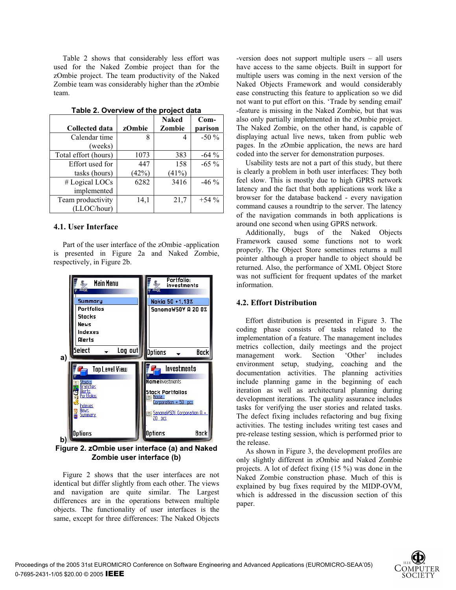Table 2 shows that considerably less effort was used for the Naked Zombie project than for the zOmbie project. The team productivity of the Naked Zombie team was considerably higher than the zOmbie team.

|                       |        | <b>Naked</b> | $Com-$  |  |
|-----------------------|--------|--------------|---------|--|
| <b>Collected data</b> | zOmbie | Zombie       | parison |  |
| Calendar time         | 8      | 4            | $-50\%$ |  |
| (weeks)               |        |              |         |  |
| Total effort (hours)  | 1073   | 383          | $-64\%$ |  |
| Effort used for       | 447    | 158          | $-65\%$ |  |
| tasks (hours)         | (42%)  | (41%)        |         |  |
| # Logical LOCs        | 6282   | 3416         | $-46\%$ |  |
| implemented           |        |              |         |  |
| Team productivity     | 14,1   | 21,7         | $+54\%$ |  |
| (LLOC/hour)           |        |              |         |  |

#### **Table 2. Overview of the project data**

#### **4.1. User Interface**

Part of the user interface of the zOmbie -application is presented in Figure 2a and Naked Zombie, respectively, in Figure 2b.



**Figure 2. zOmbie user interface (a) and Naked Zombie user interface (b)** 

Figure 2 shows that the user interfaces are not identical but differ slightly from each other. The views and navigation are quite similar. The Largest differences are in the operations between multiple objects. The functionality of user interfaces is the same, except for three differences: The Naked Objects -version does not support multiple users – all users have access to the same objects. Built in support for multiple users was coming in the next version of the Naked Objects Framework and would considerably ease constructing this feature to application so we did not want to put effort on this. 'Trade by sending email' -feature is missing in the Naked Zombie, but that was also only partially implemented in the zOmbie project. The Naked Zombie, on the other hand, is capable of displaying actual live news, taken from public web pages. In the zOmbie application, the news are hard coded into the server for demonstration purposes.

Usability tests are not a part of this study, but there is clearly a problem in both user interfaces: They both feel slow. This is mostly due to high GPRS network latency and the fact that both applications work like a browser for the database backend - every navigation command causes a roundtrip to the server. The latency of the navigation commands in both applications is around one second when using GPRS network.

Additionally, bugs of the Naked Objects Framework caused some functions not to work properly. The Object Store sometimes returns a null pointer although a proper handle to object should be returned. Also, the performance of XML Object Store was not sufficient for frequent updates of the market information.

#### **4.2. Effort Distribution**

Effort distribution is presented in Figure 3. The coding phase consists of tasks related to the implementation of a feature. The management includes metrics collection, daily meetings and the project management work. Section 'Other' includes environment setup, studying, coaching and the documentation activities. The planning activities include planning game in the beginning of each iteration as well as architectural planning during development iterations. The quality assurance includes tasks for verifying the user stories and related tasks. The defect fixing includes refactoring and bug fixing activities. The testing includes writing test cases and pre-release testing session, which is performed prior to the release.

As shown in Figure 3, the development profiles are only slightly different in zOmbie and Naked Zombie projects. A lot of defect fixing (15 %) was done in the Naked Zombie construction phase. Much of this is explained by bug fixes required by the MIDP-OVM, which is addressed in the discussion section of this paper.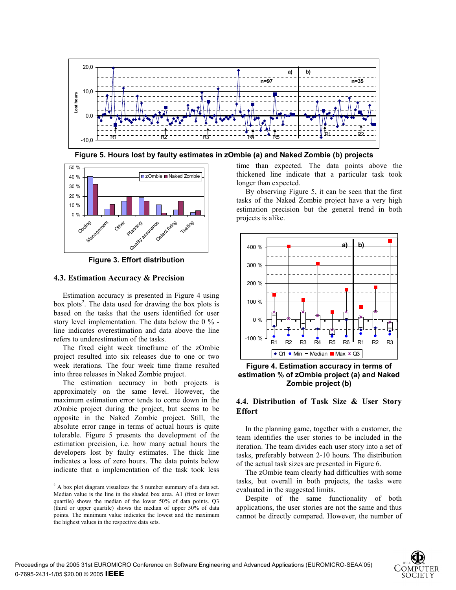

**Figure 5. Hours lost by faulty estimates in zOmbie (a) and Naked Zombie (b) projects**



**Figure 3. Effort distribution** 

## **4.3. Estimation Accuracy & Precision**

Estimation accuracy is presented in Figure 4 using box plots<sup>2</sup>. The data used for drawing the box plots is based on the tasks that the users identified for user story level implementation. The data below the 0 % line indicates overestimation and data above the line refers to underestimation of the tasks.

The fixed eight week timeframe of the zOmbie project resulted into six releases due to one or two week iterations. The four week time frame resulted into three releases in Naked Zombie project.

The estimation accuracy in both projects is approximately on the same level. However, the maximum estimation error tends to come down in the zOmbie project during the project, but seems to be opposite in the Naked Zombie project. Still, the absolute error range in terms of actual hours is quite tolerable. Figure 5 presents the development of the estimation precision, i.e. how many actual hours the developers lost by faulty estimates. The thick line indicates a loss of zero hours. The data points below indicate that a implementation of the task took less

time than expected. The data points above the thickened line indicate that a particular task took longer than expected.

By observing Figure 5, it can be seen that the first tasks of the Naked Zombie project have a very high estimation precision but the general trend in both projects is alike.



**Figure 4. Estimation accuracy in terms of estimation % of zOmbie project (a) and Naked Zombie project (b)** 

## **4.4. Distribution of Task Size & User Story Effort**

In the planning game, together with a customer, the team identifies the user stories to be included in the iteration. The team divides each user story into a set of tasks, preferably between 2-10 hours. The distribution of the actual task sizes are presented in Figure 6.

The zOmbie team clearly had difficulties with some tasks, but overall in both projects, the tasks were evaluated in the suggested limits.

Despite of the same functionality of both applications, the user stories are not the same and thus cannot be directly compared. However, the number of



 2 A box plot diagram visualizes the 5 number summary of a data set. Median value is the line in the shaded box area. A1 (first or lower quartile) shows the median of the lower 50% of data points. Q3 (third or upper quartile) shows the median of upper 50% of data points. The minimum value indicates the lowest and the maximum the highest values in the respective data sets.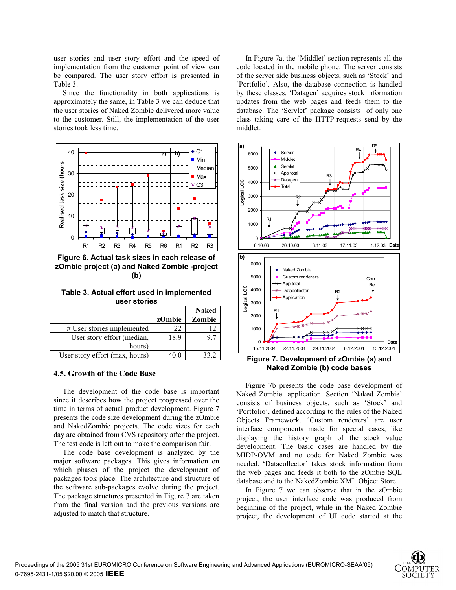user stories and user story effort and the speed of implementation from the customer point of view can be compared. The user story effort is presented in Table 3.

Since the functionality in both applications is approximately the same, in Table 3 we can deduce that the user stories of Naked Zombie delivered more value to the customer. Still, the implementation of the user stories took less time.



**Figure 6. Actual task sizes in each release of zOmbie project (a) and Naked Zombie -project (b)**

**Table 3. Actual effort used in implemented user stories** 

|                                | zOmbie | <b>Naked</b><br>Zombie |
|--------------------------------|--------|------------------------|
| # User stories implemented     | 22     |                        |
| User story effort (median,     | 18.9   | 9.7                    |
| hours)                         |        |                        |
| User story effort (max, hours) | 40.0   | 33.2                   |

### **4.5. Growth of the Code Base**

The development of the code base is important since it describes how the project progressed over the time in terms of actual product development. Figure 7 presents the code size development during the zOmbie and NakedZombie projects. The code sizes for each day are obtained from CVS repository after the project. The test code is left out to make the comparison fair.

The code base development is analyzed by the major software packages. This gives information on which phases of the project the development of packages took place. The architecture and structure of the software sub-packages evolve during the project. The package structures presented in Figure 7 are taken from the final version and the previous versions are adjusted to match that structure.

In Figure 7a, the 'Middlet' section represents all the code located in the mobile phone. The server consists of the server side business objects, such as 'Stock' and 'Portfolio'. Also, the database connection is handled by these classes. 'Datagen' acquires stock information updates from the web pages and feeds them to the database. The 'Servlet' package consists of only one class taking care of the HTTP-requests send by the middlet.



**Figure 7. Development of zOmbie (a) and Naked Zombie (b) code bases** 

Figure 7b presents the code base development of Naked Zombie -application. Section 'Naked Zombie' consists of business objects, such as 'Stock' and 'Portfolio', defined according to the rules of the Naked Objects Framework. 'Custom renderers' are user interface components made for special cases, like displaying the history graph of the stock value development. The basic cases are handled by the MIDP-OVM and no code for Naked Zombie was needed. 'Datacollector' takes stock information from the web pages and feeds it both to the zOmbie SQL database and to the NakedZombie XML Object Store.

In Figure 7 we can observe that in the zOmbie project, the user interface code was produced from beginning of the project, while in the Naked Zombie project, the development of UI code started at the

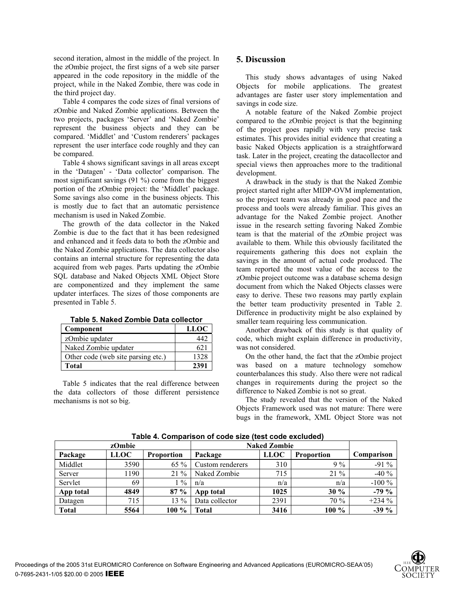second iteration, almost in the middle of the project. In the zOmbie project, the first signs of a web site parser appeared in the code repository in the middle of the project, while in the Naked Zombie, there was code in the third project day.

Table 4 compares the code sizes of final versions of zOmbie and Naked Zombie applications. Between the two projects, packages 'Server' and 'Naked Zombie' represent the business objects and they can be compared. 'Middlet' and 'Custom renderers' packages represent the user interface code roughly and they can be compared.

Table 4 shows significant savings in all areas except in the 'Datagen' - 'Data collector' comparison. The most significant savings (91 %) come from the biggest portion of the zOmbie project: the 'Middlet' package. Some savings also come in the business objects. This is mostly due to fact that an automatic persistence mechanism is used in Naked Zombie.

The growth of the data collector in the Naked Zombie is due to the fact that it has been redesigned and enhanced and it feeds data to both the zOmbie and the Naked Zombie applications. The data collector also contains an internal structure for representing the data acquired from web pages. Parts updating the zOmbie SQL database and Naked Objects XML Object Store are componentized and they implement the same updater interfaces. The sizes of those components are presented in Table 5.

| Component                          | <b>LLOC</b> |
|------------------------------------|-------------|
| zOmbie updater                     | 440         |
| Naked Zombie updater               | 621         |
| Other code (web site parsing etc.) | 1328        |
| Total                              | 2391        |

### **Table 5. Naked Zombie Data collector**

Table 5 indicates that the real difference between the data collectors of those different persistence mechanisms is not so big.

## **5. Discussion**

This study shows advantages of using Naked Objects for mobile applications. The greatest advantages are faster user story implementation and savings in code size.

A notable feature of the Naked Zombie project compared to the zOmbie project is that the beginning of the project goes rapidly with very precise task estimates. This provides initial evidence that creating a basic Naked Objects application is a straightforward task. Later in the project, creating the datacollector and special views then approaches more to the traditional development.

A drawback in the study is that the Naked Zombie project started right after MIDP-OVM implementation, so the project team was already in good pace and the process and tools were already familiar. This gives an advantage for the Naked Zombie project. Another issue in the research setting favoring Naked Zombie team is that the material of the zOmbie project was available to them. While this obviously facilitated the requirements gathering this does not explain the savings in the amount of actual code produced. The team reported the most value of the access to the zOmbie project outcome was a database schema design document from which the Naked Objects classes were easy to derive. These two reasons may partly explain the better team productivity presented in Table 2. Difference in productivity might be also explained by smaller team requiring less communication.

Another drawback of this study is that quality of code, which might explain difference in productivity, was not considered.

On the other hand, the fact that the zOmbie project was based on a mature technology somehow counterbalances this study. Also there were not radical changes in requirements during the project so the difference to Naked Zombie is not so great.

The study revealed that the version of the Naked Objects Framework used was not mature: There were bugs in the framework, XML Object Store was not

|              | zOmbie      |                   |                  | <b>Naked Zombie</b> |                   |            |
|--------------|-------------|-------------------|------------------|---------------------|-------------------|------------|
| Package      | <b>LLOC</b> | <b>Proportion</b> | Package          | <b>LLOC</b>         | <b>Proportion</b> | Comparison |
| Middlet      | 3590        | $65\%$            | Custom renderers | 310                 | $9\%$             | $-91\%$    |
| Server       | 1190        | $21\%$            | Naked Zombie     | 715                 | $21\%$            | $-40%$     |
| Servlet      | 69          | $\frac{0}{0}$     | n/a              | n/a                 | n/a               | $-100\%$   |
| App total    | 4849        | $87 \%$           | App total        | 1025                | 30 %              | $-79%$     |
| Datagen      | 715         | $13\%$            | Data collector   | 2391                | 70 %              | $+234%$    |
| <b>Total</b> | 5564        | $100\%$           | Total            | 3416                | $100\%$           | $-39\%$    |

**Table 4. Comparison of code size (test code excluded)**